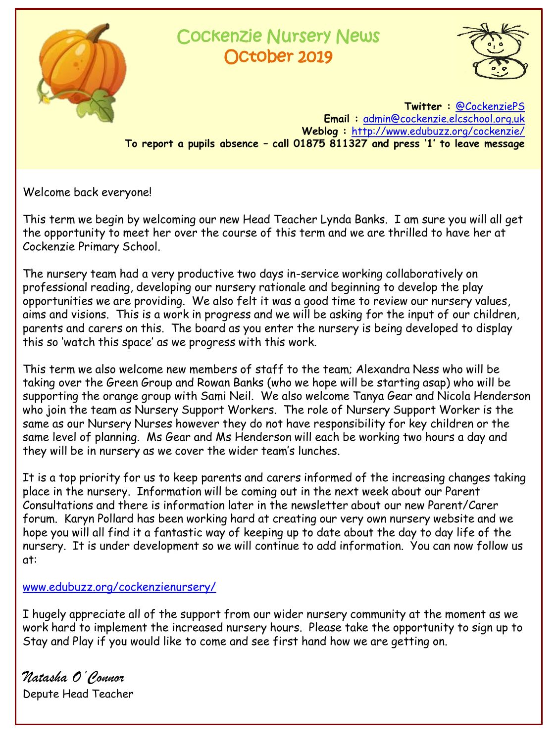

## Cockenzie Nursery News October 2019



**Twitter :** [@CockenziePS](https://twitter.com/CockenziePS) **Email :** [admin@cockenzie.elcschool.org.uk](mailto:admin@cockenzie.elcschool.org.uk) **Weblog :** <http://www.edubuzz.org/cockenzie/> **To report a pupils absence – call 01875 811327 and press '1' to leave message**

Welcome back everyone!

This term we begin by welcoming our new Head Teacher Lynda Banks. I am sure you will all get the opportunity to meet her over the course of this term and we are thrilled to have her at Cockenzie Primary School.

The nursery team had a very productive two days in-service working collaboratively on professional reading, developing our nursery rationale and beginning to develop the play opportunities we are providing. We also felt it was a good time to review our nursery values, aims and visions. This is a work in progress and we will be asking for the input of our children, parents and carers on this. The board as you enter the nursery is being developed to display this so 'watch this space' as we progress with this work.

This term we also welcome new members of staff to the team; Alexandra Ness who will be taking over the Green Group and Rowan Banks (who we hope will be starting asap) who will be supporting the orange group with Sami Neil. We also welcome Tanya Gear and Nicola Henderson who join the team as Nursery Support Workers. The role of Nursery Support Worker is the same as our Nursery Nurses however they do not have responsibility for key children or the same level of planning. Ms Gear and Ms Henderson will each be working two hours a day and they will be in nursery as we cover the wider team's lunches.

It is a top priority for us to keep parents and carers informed of the increasing changes taking place in the nursery. Information will be coming out in the next week about our Parent Consultations and there is information later in the newsletter about our new Parent/Carer forum. Karyn Pollard has been working hard at creating our very own nursery website and we hope you will all find it a fantastic way of keeping up to date about the day to day life of the nursery. It is under development so we will continue to add information. You can now follow us at:

## [www.edubuzz.org/cockenzienursery/](http://www.edubuzz.org/cockenzienursery/)

I hugely appreciate all of the support from our wider nursery community at the moment as we work hard to implement the increased nursery hours. Please take the opportunity to sign up to Stay and Play if you would like to come and see first hand how we are getting on.

*Natasha O'Connor* Depute Head Teacher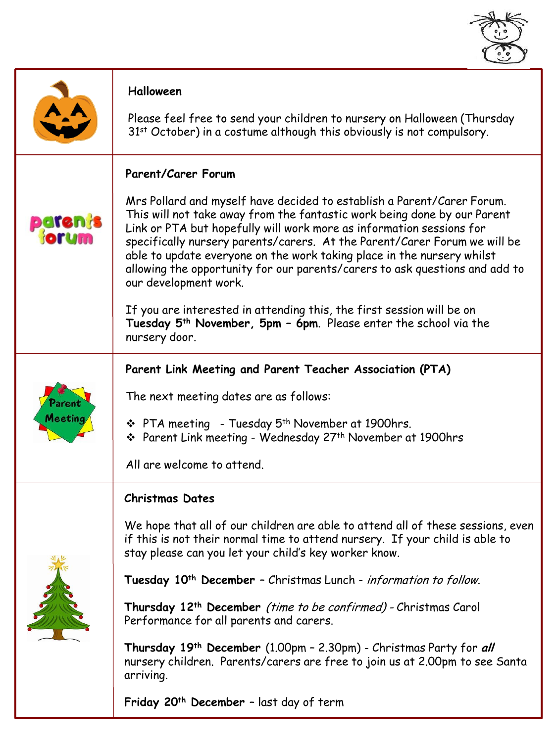

|                                 | Halloween<br>Please feel free to send your children to nursery on Halloween (Thursday<br>31st October) in a costume although this obviously is not compulsory.                                                                                                                                                                                                                                                                                                                                                                                                                                                                                                                                           |
|---------------------------------|----------------------------------------------------------------------------------------------------------------------------------------------------------------------------------------------------------------------------------------------------------------------------------------------------------------------------------------------------------------------------------------------------------------------------------------------------------------------------------------------------------------------------------------------------------------------------------------------------------------------------------------------------------------------------------------------------------|
| paten <mark>i</mark> s<br>Morum | <b>Parent/Carer Forum</b><br>Mrs Pollard and myself have decided to establish a Parent/Carer Forum.<br>This will not take away from the fantastic work being done by our Parent<br>Link or PTA but hopefully will work more as information sessions for<br>specifically nursery parents/carers. At the Parent/Carer Forum we will be<br>able to update everyone on the work taking place in the nursery whilst<br>allowing the opportunity for our parents/carers to ask questions and add to<br>our development work.<br>If you are interested in attending this, the first session will be on<br>Tuesday 5 <sup>th</sup> November, 5pm - 6pm. Please enter the school via the<br>nursery door.         |
| Meeting                         | Parent Link Meeting and Parent Teacher Association (PTA)<br>The next meeting dates are as follows:<br>$\div$ PTA meeting - Tuesday 5 <sup>th</sup> November at 1900hrs.<br>❖ Parent Link meeting - Wednesday 27 <sup>th</sup> November at 1900hrs<br>All are welcome to attend.                                                                                                                                                                                                                                                                                                                                                                                                                          |
|                                 | <b>Christmas Dates</b><br>We hope that all of our children are able to attend all of these sessions, even<br>if this is not their normal time to attend nursery. If your child is able to<br>stay please can you let your child's key worker know.<br>Tuesday 10 <sup>th</sup> December - Christmas Lunch - information to follow.<br>Thursday 12 <sup>th</sup> December <i>(time to be confirmed)</i> - Christmas Carol<br>Performance for all parents and carers.<br>Thursday 19 <sup>th</sup> December (1.00pm - 2.30pm) - Christmas Party for all<br>nursery children. Parents/carers are free to join us at 2.00pm to see Santa<br>arriving.<br>Friday 20 <sup>th</sup> December - last day of term |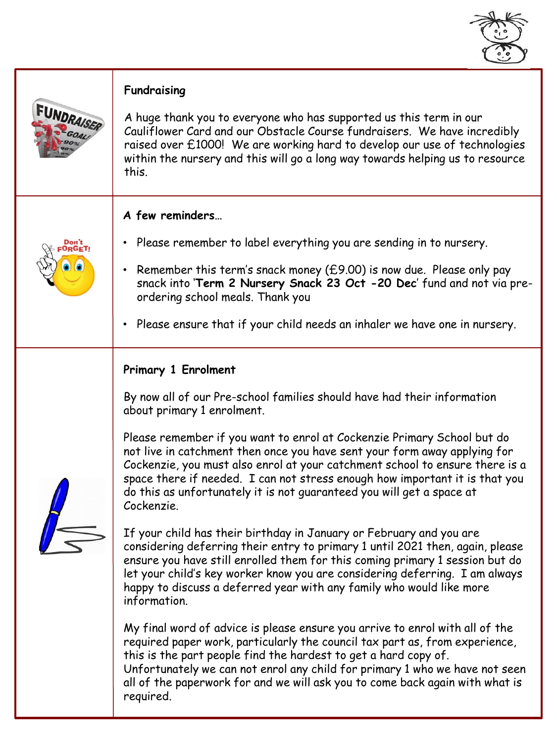

| FUNDRAISER | Fundraising<br>A huge thank you to everyone who has supported us this term in our<br>Cauliflower Card and our Obstacle Course fundraisers. We have incredibly<br>raised over £1000! We are working hard to develop our use of technologies<br>within the nursery and this will go a long way towards helping us to resource<br>this.                                                                                                                                                                                                                                                                                                                                                                                                                                                                                                                                                                                                                                                                                                                                                                                                                                                                                                                                                                                                                                    |
|------------|-------------------------------------------------------------------------------------------------------------------------------------------------------------------------------------------------------------------------------------------------------------------------------------------------------------------------------------------------------------------------------------------------------------------------------------------------------------------------------------------------------------------------------------------------------------------------------------------------------------------------------------------------------------------------------------------------------------------------------------------------------------------------------------------------------------------------------------------------------------------------------------------------------------------------------------------------------------------------------------------------------------------------------------------------------------------------------------------------------------------------------------------------------------------------------------------------------------------------------------------------------------------------------------------------------------------------------------------------------------------------|
|            | A few reminders<br>• Please remember to label everything you are sending in to nursery.<br>Remember this term's snack money (£9.00) is now due. Please only pay<br>$\bullet$<br>snack into 'Term 2 Nursery Snack 23 Oct -20 Dec' fund and not via pre-<br>ordering school meals. Thank you<br>Please ensure that if your child needs an inhaler we have one in nursery.<br>$\bullet$                                                                                                                                                                                                                                                                                                                                                                                                                                                                                                                                                                                                                                                                                                                                                                                                                                                                                                                                                                                    |
|            | Primary 1 Enrolment<br>By now all of our Pre-school families should have had their information<br>about primary 1 enrolment.<br>Please remember if you want to enrol at Cockenzie Primary School but do<br>not live in catchment then once you have sent your form away applying for<br>Cockenzie, you must also enrol at your catchment school to ensure there is a<br>space there if needed. I can not stress enough how important it is that you<br>do this as unfortunately it is not quaranteed you will get a space at<br>Cockenzie.<br>If your child has their birthday in January or February and you are<br>considering deferring their entry to primary 1 until 2021 then, again, please<br>ensure you have still enrolled them for this coming primary 1 session but do<br>let your child's key worker know you are considering deferring. I am always<br>happy to discuss a deferred year with any family who would like more<br>information.<br>My final word of advice is please ensure you arrive to enrol with all of the<br>required paper work, particularly the council tax part as, from experience,<br>this is the part people find the hardest to get a hard copy of.<br>Unfortunately we can not enrol any child for primary 1 who we have not seen<br>all of the paperwork for and we will ask you to come back again with what is<br>required. |